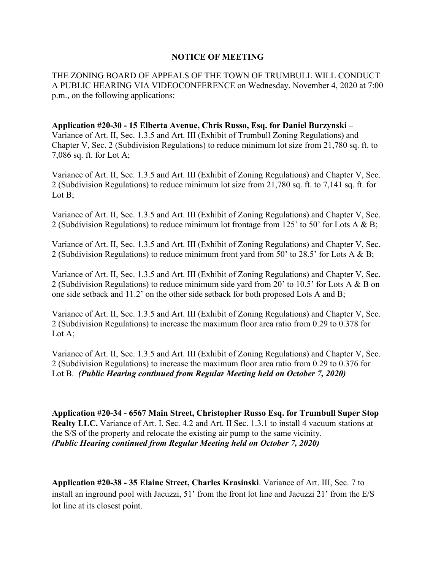## **NOTICE OF MEETING**

THE ZONING BOARD OF APPEALS OF THE TOWN OF TRUMBULL WILL CONDUCT A PUBLIC HEARING VIA VIDEOCONFERENCE on Wednesday, November 4, 2020 at 7:00 p.m., on the following applications:

## **Application #20-30 - 15 Elberta Avenue, Chris Russo, Esq. for Daniel Burzynski –** Variance of Art. II, Sec. 1.3.5 and Art. III (Exhibit of Trumbull Zoning Regulations) and Chapter V, Sec. 2 (Subdivision Regulations) to reduce minimum lot size from 21,780 sq. ft. to

7,086 sq. ft. for Lot A;

Variance of Art. II, Sec. 1.3.5 and Art. III (Exhibit of Zoning Regulations) and Chapter V, Sec. 2 (Subdivision Regulations) to reduce minimum lot size from 21,780 sq. ft. to 7,141 sq. ft. for Lot B;

Variance of Art. II, Sec. 1.3.5 and Art. III (Exhibit of Zoning Regulations) and Chapter V, Sec. 2 (Subdivision Regulations) to reduce minimum lot frontage from 125' to 50' for Lots A & B;

Variance of Art. II, Sec. 1.3.5 and Art. III (Exhibit of Zoning Regulations) and Chapter V, Sec. 2 (Subdivision Regulations) to reduce minimum front yard from 50' to 28.5' for Lots A & B;

Variance of Art. II, Sec. 1.3.5 and Art. III (Exhibit of Zoning Regulations) and Chapter V, Sec. 2 (Subdivision Regulations) to reduce minimum side yard from 20' to 10.5' for Lots A & B on one side setback and 11.2' on the other side setback for both proposed Lots A and B;

Variance of Art. II, Sec. 1.3.5 and Art. III (Exhibit of Zoning Regulations) and Chapter V, Sec. 2 (Subdivision Regulations) to increase the maximum floor area ratio from 0.29 to 0.378 for Lot A;

Variance of Art. II, Sec. 1.3.5 and Art. III (Exhibit of Zoning Regulations) and Chapter V, Sec. 2 (Subdivision Regulations) to increase the maximum floor area ratio from 0.29 to 0.376 for Lot B. *(Public Hearing continued from Regular Meeting held on October 7, 2020)*

**Application #20-34 - 6567 Main Street, Christopher Russo Esq. for Trumbull Super Stop Realty LLC.** Variance of Art. I. Sec. 4.2 and Art. II Sec. 1.3.1 to install 4 vacuum stations at the S/S of the property and relocate the existing air pump to the same vicinity. *(Public Hearing continued from Regular Meeting held on October 7, 2020)*

**Application #20-38 - 35 Elaine Street, Charles Krasinski**. Variance of Art. III, Sec. 7 to install an inground pool with Jacuzzi, 51' from the front lot line and Jacuzzi 21' from the E/S lot line at its closest point.